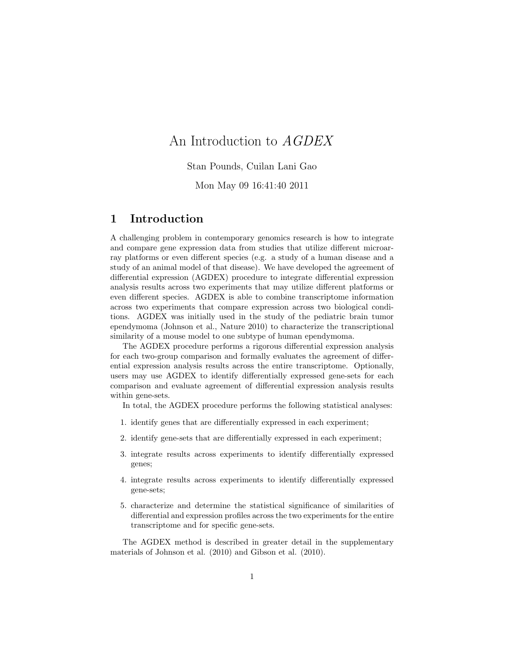# An Introduction to AGDEX

Stan Pounds, Cuilan Lani Gao

Mon May 09 16:41:40 2011

# 1 Introduction

A challenging problem in contemporary genomics research is how to integrate and compare gene expression data from studies that utilize different microarray platforms or even different species (e.g. a study of a human disease and a study of an animal model of that disease). We have developed the agreement of differential expression (AGDEX) procedure to integrate differential expression analysis results across two experiments that may utilize different platforms or even different species. AGDEX is able to combine transcriptome information across two experiments that compare expression across two biological conditions. AGDEX was initially used in the study of the pediatric brain tumor ependymoma (Johnson et al., Nature 2010) to characterize the transcriptional similarity of a mouse model to one subtype of human ependymoma.

The AGDEX procedure performs a rigorous differential expression analysis for each two-group comparison and formally evaluates the agreement of differential expression analysis results across the entire transcriptome. Optionally, users may use AGDEX to identify differentially expressed gene-sets for each comparison and evaluate agreement of differential expression analysis results within gene-sets.

In total, the AGDEX procedure performs the following statistical analyses:

- 1. identify genes that are differentially expressed in each experiment;
- 2. identify gene-sets that are differentially expressed in each experiment;
- 3. integrate results across experiments to identify differentially expressed genes;
- 4. integrate results across experiments to identify differentially expressed gene-sets;
- 5. characterize and determine the statistical significance of similarities of differential and expression profiles across the two experiments for the entire transcriptome and for specific gene-sets.

The AGDEX method is described in greater detail in the supplementary materials of Johnson et al. (2010) and Gibson et al. (2010).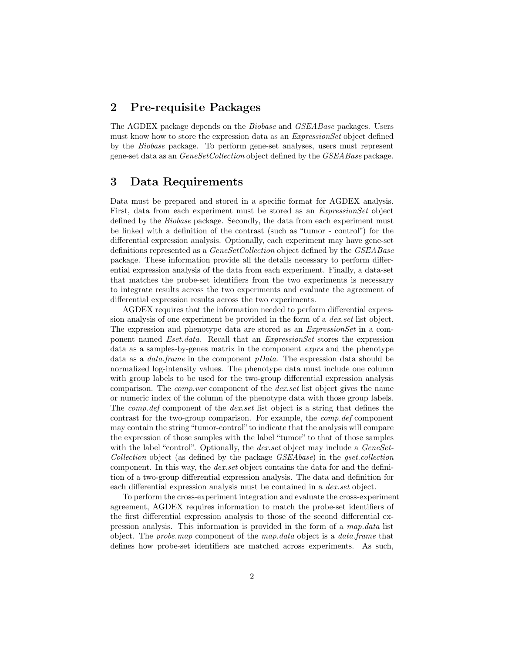## 2 Pre-requisite Packages

The AGDEX package depends on the Biobase and GSEABase packages. Users must know how to store the expression data as an *ExpressionSet* object defined by the Biobase package. To perform gene-set analyses, users must represent gene-set data as an GeneSetCollection object defined by the GSEABase package.

## 3 Data Requirements

Data must be prepared and stored in a specific format for AGDEX analysis. First, data from each experiment must be stored as an ExpressionSet object defined by the Biobase package. Secondly, the data from each experiment must be linked with a definition of the contrast (such as "tumor - control") for the differential expression analysis. Optionally, each experiment may have gene-set definitions represented as a *GeneSetCollection* object defined by the *GSEABase* package. These information provide all the details necessary to perform differential expression analysis of the data from each experiment. Finally, a data-set that matches the probe-set identifiers from the two experiments is necessary to integrate results across the two experiments and evaluate the agreement of differential expression results across the two experiments.

AGDEX requires that the information needed to perform differential expression analysis of one experiment be provided in the form of a dex.set list object. The expression and phenotype data are stored as an ExpressionSet in a component named *Eset.data*. Recall that an *ExpressionSet* stores the expression data as a samples-by-genes matrix in the component exprs and the phenotype data as a data.frame in the component pData. The expression data should be normalized log-intensity values. The phenotype data must include one column with group labels to be used for the two-group differential expression analysis comparison. The *comp.var* component of the *dex.set* list object gives the name or numeric index of the column of the phenotype data with those group labels. The comp.def component of the dex.set list object is a string that defines the contrast for the two-group comparison. For example, the comp.def component may contain the string "tumor-control" to indicate that the analysis will compare the expression of those samples with the label "tumor" to that of those samples with the label "control". Optionally, the *dex.set* object may include a *GeneSet-*Collection object (as defined by the package GSEAbase) in the gset.collection component. In this way, the *dex.set* object contains the data for and the definition of a two-group differential expression analysis. The data and definition for each differential expression analysis must be contained in a *dex.set* object.

To perform the cross-experiment integration and evaluate the cross-experiment agreement, AGDEX requires information to match the probe-set identifiers of the first differential expression analysis to those of the second differential expression analysis. This information is provided in the form of a map.data list object. The probe.map component of the map.data object is a data.frame that defines how probe-set identifiers are matched across experiments. As such,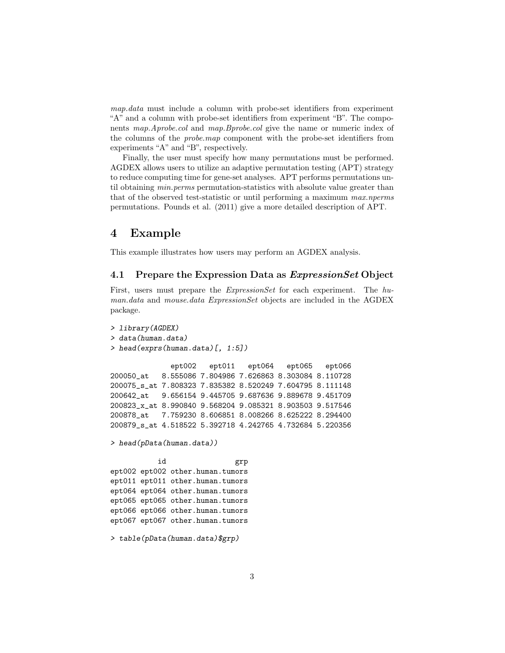map.data must include a column with probe-set identifiers from experiment "A" and a column with probe-set identifiers from experiment "B". The components map.Aprobe.col and map.Bprobe.col give the name or numeric index of the columns of the probe.map component with the probe-set identifiers from experiments "A" and "B", respectively.

Finally, the user must specify how many permutations must be performed. AGDEX allows users to utilize an adaptive permutation testing (APT) strategy to reduce computing time for gene-set analyses. APT performs permutations until obtaining *min.perms* permutation-statistics with absolute value greater than that of the observed test-statistic or until performing a maximum max.nperms permutations. Pounds et al. (2011) give a more detailed description of APT.

# 4 Example

This example illustrates how users may perform an AGDEX analysis.

### 4.1 Prepare the Expression Data as ExpressionSet Object

First, users must prepare the ExpressionSet for each experiment. The human.data and mouse.data ExpressionSet objects are included in the AGDEX package.

```
> library(AGDEX)
> data(human.data)
> head(exprs(human.data)[, 1:5])
             ept002 ept011 ept064 ept065 ept066
200050_at 8.555086 7.804986 7.626863 8.303084 8.110728
200075_s_at 7.808323 7.835382 8.520249 7.604795 8.111148
200642_at 9.656154 9.445705 9.687636 9.889678 9.451709
200823_x_at 8.990840 9.568204 9.085321 8.903503 9.517546
200878_at 7.759230 8.606851 8.008266 8.625222 8.294400
200879_s_at 4.518522 5.392718 4.242765 4.732684 5.220356
> head(pData(human.data))
          id grp
ept002 ept002 other.human.tumors
ept011 ept011 other.human.tumors
ept064 ept064 other.human.tumors
ept065 ept065 other.human.tumors
ept066 ept066 other.human.tumors
ept067 ept067 other.human.tumors
> table(pData(human.data)$grp)
```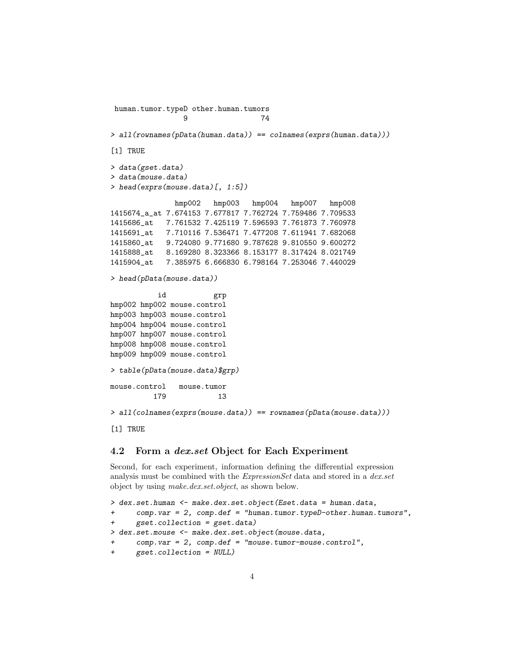```
human.tumor.typeD other.human.tumors
                9 74
> all(rownames(pData(human.data)) == colnames(exprs(human.data)))
[1] TRUE
> data(gset.data)
> data(mouse.data)
> head(exprs(mouse.data)[, 1:5])
              hmp002 hmp003 hmp004 hmp007 hmp008
1415674_a_at 7.674153 7.677817 7.762724 7.759486 7.709533
1415686_at 7.761532 7.425119 7.596593 7.761873 7.760978
1415691_at 7.710116 7.536471 7.477208 7.611941 7.682068
1415860_at 9.724080 9.771680 9.787628 9.810550 9.600272
1415888_at 8.169280 8.323366 8.153177 8.317424 8.021749
1415904_at 7.385975 6.666830 6.798164 7.253046 7.440029
> head(pData(mouse.data))
          id grp
hmp002 hmp002 mouse.control
hmp003 hmp003 mouse.control
hmp004 hmp004 mouse.control
hmp007 hmp007 mouse.control
hmp008 hmp008 mouse.control
hmp009 hmp009 mouse.control
> table(pData(mouse.data)$grp)
mouse.control mouse.tumor
         179 13
> all(colnames(exprs(mouse.data)) == rownames(pData(mouse.data)))
[1] TRUE
```
#### 4.2 Form a dex.set Object for Each Experiment

Second, for each experiment, information defining the differential expression analysis must be combined with the *ExpressionSet* data and stored in a *dex.set* object by using make.dex.set.object, as shown below.

```
> dex.set.human <- make.dex.set.object(Eset.data = human.data,
+ comp.var = 2, comp.def = "human.tumor.typeD-other.human.tumors",
     gset.collection = gset.data)> dex.set.mouse <- make.dex.set.object(mouse.data,
+ comp.var = 2, comp.def = "mouse.tumor-mouse.control",
+ gset.collection = NULL)
```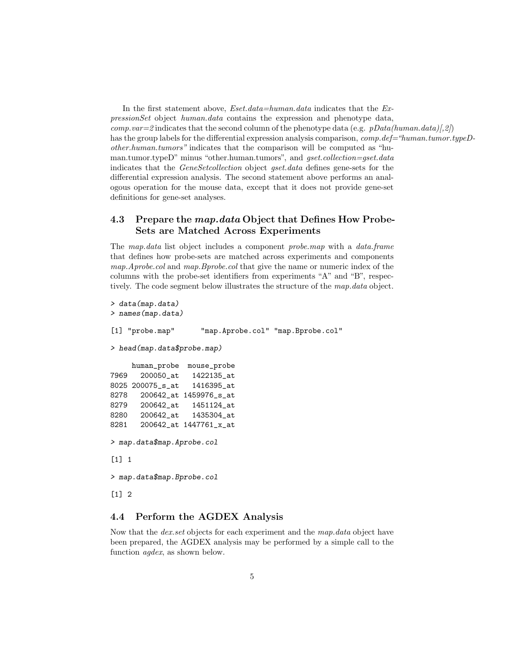In the first statement above,  $Eset.data=human.data$  indicates that the  $Ex$ pressionSet object human.data contains the expression and phenotype data, comp.var=2 indicates that the second column of the phenotype data (e.g. pData(human.data)[,2]) has the group labels for the differential expression analysis comparison, *comp.def="human.tumor.typeD*other.human.tumors" indicates that the comparison will be computed as "human.tumor.typeD" minus "other.human.tumors", and gset.collection=gset.data indicates that the GeneSetcollection object gset.data defines gene-sets for the differential expression analysis. The second statement above performs an analogous operation for the mouse data, except that it does not provide gene-set definitions for gene-set analyses.

### 4.3 Prepare the *map.data* Object that Defines How Probe-Sets are Matched Across Experiments

The map.data list object includes a component probe.map with a data.frame that defines how probe-sets are matched across experiments and components map. A probe. col and map. B probe. col that give the name or numeric index of the columns with the probe-set identifiers from experiments "A" and "B", respectively. The code segment below illustrates the structure of the map.data object.

```
> data(map.data)
> names(map.data)
[1] "probe.map" "map.Aprobe.col" "map.Bprobe.col"
> head(map.data$probe.map)
    human_probe mouse_probe
7969 200050_at 1422135_at
8025 200075_s_at 1416395_at
8278 200642_at 1459976_s_at
8279 200642_at 1451124_at
8280 200642_at 1435304_at
8281 200642_at 1447761_x_at
> map.data$map.Aprobe.col
[1] 1
> map.data$map.Bprobe.col
[1] 2
```
### 4.4 Perform the AGDEX Analysis

Now that the *dex.set* objects for each experiment and the *map.data* object have been prepared, the AGDEX analysis may be performed by a simple call to the function agdex, as shown below.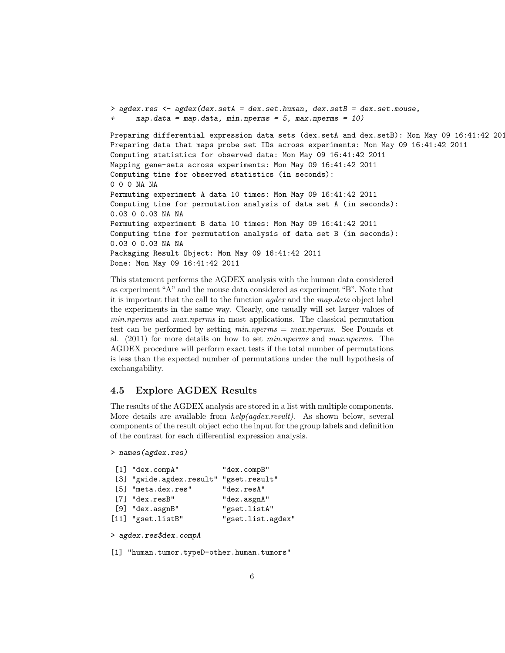```
> agdex.res <- agdex(dex.setA = dex.set.human, dex.setB = dex.set.mouse,
      map.data = map.data, min.nperms = 5, max.nperms = 10)Preparing differential expression data sets (dex.setA and dex.setB): Mon May 09 16:41:42 2011
Preparing data that maps probe set IDs across experiments: Mon May 09 16:41:42 2011
Computing statistics for observed data: Mon May 09 16:41:42 2011
Mapping gene-sets across experiments: Mon May 09 16:41:42 2011
Computing time for observed statistics (in seconds):
0 0 0 NA NA
Permuting experiment A data 10 times: Mon May 09 16:41:42 2011
Computing time for permutation analysis of data set A (in seconds):
0.03 0 0.03 NA NA
Permuting experiment B data 10 times: Mon May 09 16:41:42 2011
Computing time for permutation analysis of data set B (in seconds):
0.03 0 0.03 NA NA
Packaging Result Object: Mon May 09 16:41:42 2011
Done: Mon May 09 16:41:42 2011
```
This statement performs the AGDEX analysis with the human data considered as experiment "A" and the mouse data considered as experiment "B". Note that it is important that the call to the function agdex and the map.data object label the experiments in the same way. Clearly, one usually will set larger values of min.nperms and max.nperms in most applications. The classical permutation test can be performed by setting  $min.nperms = max.nperms$ . See Pounds et al. (2011) for more details on how to set min.nperms and max.nperms. The AGDEX procedure will perform exact tests if the total number of permutations is less than the expected number of permutations under the null hypothesis of exchangability.

### 4.5 Explore AGDEX Results

The results of the AGDEX analysis are stored in a list with multiple components. More details are available from  $help(agdex.result)$ . As shown below, several components of the result object echo the input for the group labels and definition of the contrast for each differential expression analysis.

```
> names(agdex.res)
```

| [1] "dex.compA"                        | "dex.compB"       |
|----------------------------------------|-------------------|
| [3] "gwide.agdex.result" "gset.result" |                   |
| [5] "meta.dex.res"                     | "dex.resA"        |
| $[7]$ "dex.resB"                       | "dex.asgnA"       |
| $[9]$ "dex.asgnB"                      | "gset.listA"      |
| [11] "gset.listB"                      | "gset.list.agdex" |
|                                        |                   |

```
> agdex.res$dex.compA
```
[1] "human.tumor.typeD-other.human.tumors"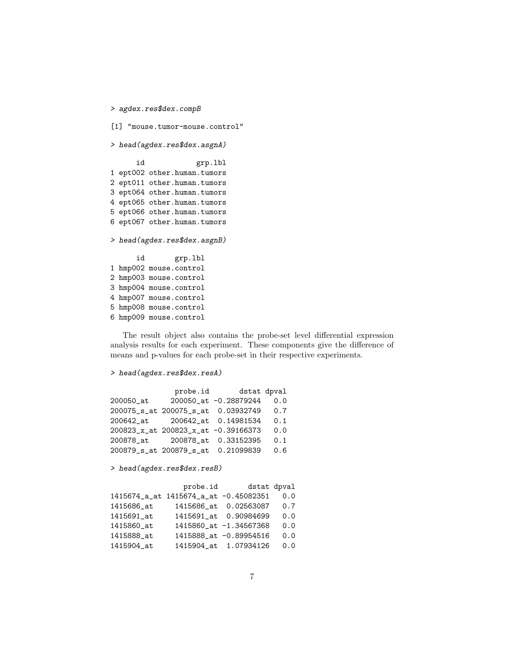```
> agdex.res$dex.compB
[1] "mouse.tumor-mouse.control"
> head(agdex.res$dex.asgnA)
     id grp.lbl
1 ept002 other.human.tumors
2 ept011 other.human.tumors
3 ept064 other.human.tumors
4 ept065 other.human.tumors
5 ept066 other.human.tumors
6 ept067 other.human.tumors
> head(agdex.res$dex.asgnB)
     id grp.lbl
1 hmp002 mouse.control
2 hmp003 mouse.control
3 hmp004 mouse.control
4 hmp007 mouse.control
5 hmp008 mouse.control
6 hmp009 mouse.control
```
The result object also contains the probe-set level differential expression analysis results for each experiment. These components give the difference of means and p-values for each probe-set in their respective experiments.

```
> head(agdex.res$dex.resA)
```

|           | probe.id                            | dstat dpval           |     |
|-----------|-------------------------------------|-----------------------|-----|
| 200050_at |                                     | 200050_at -0.28879244 | 0.0 |
|           | 200075_s_at 200075_s_at             | 0.03932749            | 0.7 |
| 200642 at |                                     | 200642 at 0.14981534  | 0.1 |
|           | 200823_x_at 200823_x_at -0.39166373 |                       | 0.0 |
| 200878 at |                                     | 200878_at 0.33152395  | 0.1 |
|           | 200879_s_at 200879_s_at             | 0.21099839            | 0.6 |

> head(agdex.res\$dex.resB)

|            | probe.id                              |                        | dstat dpval |
|------------|---------------------------------------|------------------------|-------------|
|            | 1415674_a_at 1415674_a_at -0.45082351 |                        | 0.0         |
| 1415686_at |                                       | 1415686_at 0.02563087  | 0.7         |
| 1415691_at |                                       | 1415691 at 0.90984699  | 0.0         |
| 1415860 at |                                       | 1415860_at -1.34567368 | 0.0         |
| 1415888 at |                                       | 1415888_at -0.89954516 | 0.0         |
| 1415904_at |                                       | 1415904_at 1.07934126  | 0.0         |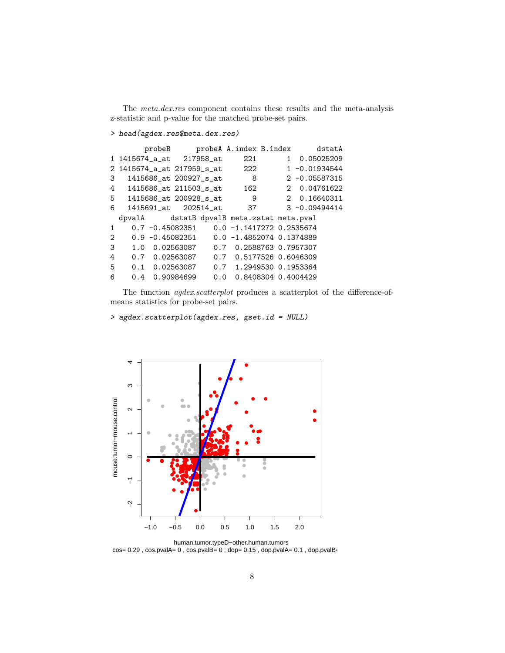The meta.dex.res component contains these results and the meta-analysis z-statistic and p-value for the matched probe-set pairs.

### > head(agdex.res\$meta.dex.res)

|               | probeB                                           |  | probeA A.index B.index    |  | dstatA           |
|---------------|--------------------------------------------------|--|---------------------------|--|------------------|
|               | 1 1415674_a_at 217958_at                         |  | 221                       |  | 1 0.05025209     |
|               | 2 1415674_a_at 217959_s_at                       |  | 222                       |  | $1 - 0.01934544$ |
| 3             | 1415686_at 200927_s_at                           |  | 8                         |  | $2 -0.05587315$  |
| 4             | 1415686_at 211503_s_at                           |  | 162                       |  | 2 0.04761622     |
|               | 1415686_at 200928_s_at<br>5                      |  | 9                         |  | 2 0.16640311     |
| 6             | 1415691 at 202514 at                             |  | 37                        |  | $3 - 0.09494414$ |
|               | dpvalA dstatB dpvalB meta.zstat meta.pval        |  |                           |  |                  |
| $\mathbf{1}$  | $0.7 - 0.45082351$ $0.0 - 1.1417272$ $0.2535674$ |  |                           |  |                  |
| $\mathcal{L}$ | $0.9 - 0.45082351$                               |  | $0.0 -1.48520740.1374889$ |  |                  |
| 3             | 1.0 0.02563087                                   |  | 0.7 0.2588763 0.7957307   |  |                  |
| 4             | 0.7 0.02563087                                   |  | 0.7 0.5177526 0.6046309   |  |                  |
| 5             | $0.1 \quad 0.02563087$                           |  | 0.7 1.2949530 0.1953364   |  |                  |
| 6             | 0.4 0.90984699                                   |  | 0.0 0.8408304 0.4004429   |  |                  |

The function *agdex.scatterplot* produces a scatterplot of the difference-ofmeans statistics for probe-set pairs.

### > agdex.scatterplot(agdex.res, gset.id = NULL)



 $cos= 0.29$ ,  $cos.pvalA= 0$ ,  $cos.pvalB= 0$ ;  $dop= 0.15$ ,  $dop.pvalA= 0.1$ ,  $dop.pvalB= 0.1$ human.tumor.typeD−other.human.tumors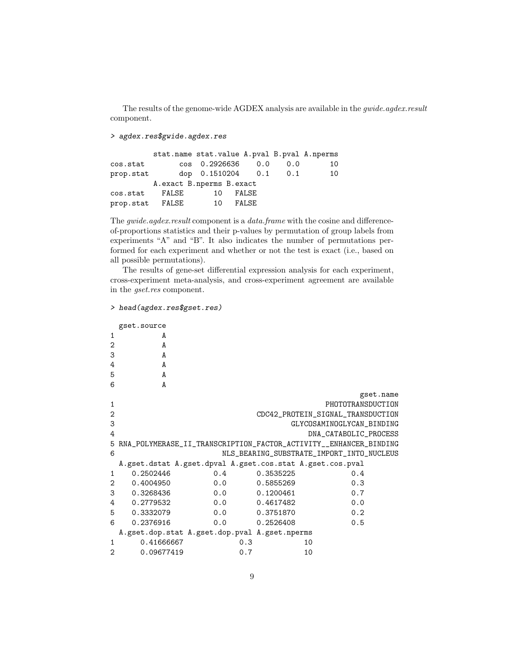The results of the genome-wide AGDEX analysis are available in the *gwide.agdex.result* component.

> agdex.res\$gwide.agdex.res

|           |        | stat.name stat.value A.pval B.pval A.nperms |       |     |    |
|-----------|--------|---------------------------------------------|-------|-----|----|
| cos.stat  | $\cos$ | 0.2926636                                   | 0.0   | 0.0 | 10 |
| prop.stat |        | dop 0.1510204 0.1                           |       | 0.1 | 10 |
|           |        | A.exact B.nperms B.exact                    |       |     |    |
| cos.stat  | FALSE  | 10                                          | FALSE |     |    |
| prop.stat | FALSE  | 10                                          | FALSE |     |    |

The *gwide.agdex.result* component is a *data.frame* with the cosine and differenceof-proportions statistics and their p-values by permutation of group labels from experiments "A" and "B". It also indicates the number of permutations performed for each experiment and whether or not the test is exact (i.e., based on all possible permutations).

The results of gene-set differential expression analysis for each experiment, cross-experiment meta-analysis, and cross-experiment agreement are available in the gset.res component.

```
> head(agdex.res$gset.res)
```

|                | gset.source |                                                           |           |                                                                   |
|----------------|-------------|-----------------------------------------------------------|-----------|-------------------------------------------------------------------|
| $\mathbf{1}$   | A           |                                                           |           |                                                                   |
| $\overline{2}$ | A           |                                                           |           |                                                                   |
| 3              | A           |                                                           |           |                                                                   |
| 4              | A           |                                                           |           |                                                                   |
| 5              | A           |                                                           |           |                                                                   |
| 6              | A           |                                                           |           |                                                                   |
|                |             |                                                           |           | gset.name                                                         |
| 1              |             |                                                           |           | PHOTOTRANSDUCTION                                                 |
| $\overline{2}$ |             |                                                           |           | CDC42_PROTEIN_SIGNAL_TRANSDUCTION                                 |
| 3              |             |                                                           |           |                                                                   |
|                |             |                                                           |           | GLYCOSAMINOGLYCAN_BINDING                                         |
| 4              |             |                                                           |           | DNA_CATABOLIC_PROCESS                                             |
| 5              |             |                                                           |           | RNA_POLYMERASE_II_TRANSCRIPTION_FACTOR_ACTIVITY__ENHANCER_BINDING |
| 6              |             |                                                           |           | NLS_BEARING_SUBSTRATE_IMPORT_INTO_NUCLEUS                         |
|                |             | A.gset.dstat A.gset.dpval A.gset.cos.stat A.gset.cos.pval |           |                                                                   |
| $\mathbf{1}$   | 0.2502446   | 0.4                                                       | 0.3535225 | 0.4                                                               |
| 2              | 0.4004950   | 0.0                                                       | 0.5855269 | 0.3                                                               |
| 3              | 0.3268436   | 0.0                                                       | 0.1200461 | 0.7                                                               |
| 4              | 0.2779532   | 0.0                                                       | 0.4617482 | 0.0                                                               |
| 5              | 0.3332079   | 0.0                                                       | 0.3751870 | 0.2                                                               |
| 6              | 0.2376916   | 0.0                                                       | 0.2526408 | 0.5                                                               |
|                |             | A.gset.dop.stat A.gset.dop.pval A.gset.nperms             |           |                                                                   |
| $\mathbf{1}$   | 0.41666667  | 0.3                                                       |           | 10                                                                |
| $\overline{2}$ | 0.09677419  | 0.7                                                       |           | 10                                                                |
|                |             |                                                           |           |                                                                   |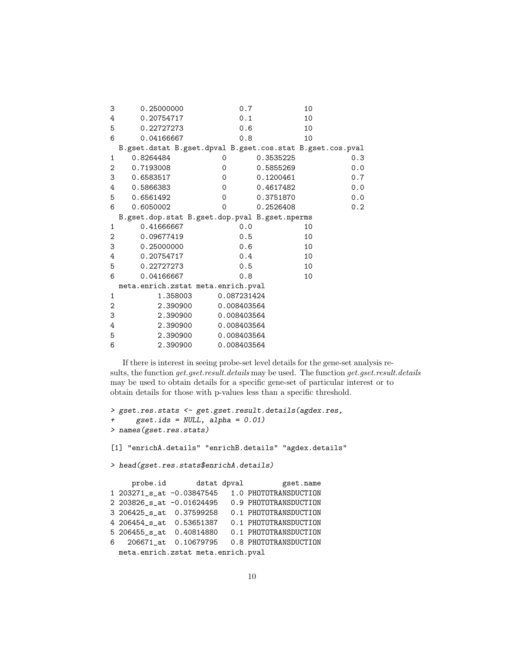| 3 | 0.25000000                                                | 0.7         | 10        |     |
|---|-----------------------------------------------------------|-------------|-----------|-----|
| 4 | 0.20754717                                                | 0.1         | 10        |     |
| 5 | 0.22727273                                                | 0.6         | 10        |     |
| 6 | 0.04166667                                                | 0.8         | 10        |     |
|   | B.gset.dstat B.gset.dpval B.gset.cos.stat B.gset.cos.pval |             |           |     |
| 1 | 0.8264484                                                 | 0           | 0.3535225 | 0.3 |
| 2 | 0.7193008                                                 | $\Omega$    | 0.5855269 | 0.0 |
| 3 | 0.6583517                                                 | 0           | 0.1200461 | 0.7 |
| 4 | 0.5866383                                                 | $\Omega$    | 0.4617482 | 0.0 |
| 5 | 0.6561492                                                 | $\Omega$    | 0.3751870 | 0.0 |
| 6 | 0.6050002                                                 | $\Omega$    | 0.2526408 | 0.2 |
|   | B.gset.dop.stat B.gset.dop.pval B.gset.nperms             |             |           |     |
| 1 | 0.41666667                                                | 0.0         | 10        |     |
| 2 | 0.09677419                                                | 0.5         | 10        |     |
| 3 | 0.25000000                                                | 0.6         | 10        |     |
| 4 | 0.20754717                                                | 0.4         | 10        |     |
| 5 | 0.22727273                                                | 0.5         | 10        |     |
| 6 | 0.04166667                                                | 0.8         | 10        |     |
|   | meta.enrich.zstat meta.enrich.pval                        |             |           |     |
| 1 | 1.358003                                                  | 0.087231424 |           |     |
| 2 | 2.390900                                                  | 0.008403564 |           |     |
| 3 | 2.390900                                                  | 0.008403564 |           |     |
| 4 | 2.390900                                                  | 0.008403564 |           |     |
| 5 | 2.390900                                                  | 0.008403564 |           |     |
| 6 | 2.390900                                                  | 0.008403564 |           |     |

If there is interest in seeing probe-set level details for the gene-set analysis results, the function get.gset.result.details may be used. The function get.gset.result.details may be used to obtain details for a specific gene-set of particular interest or to obtain details for those with p-values less than a specific threshold.

```
> gset.res.stats <- get.gset.result.details(agdex.res,
+ gset.ids = NULL, alpha = 0.01)
> names(gset.res.stats)
[1] "enrichA.details" "enrichB.details" "agdex.details"
> head(gset.res.stats$enrichA.details)
    probe.id dstat dpval gset.name
1 203271_s_at -0.03847545 1.0 PHOTOTRANSDUCTION
2 203826_s_at -0.01624495 0.9 PHOTOTRANSDUCTION
3 206425_s_at 0.37599258 0.1 PHOTOTRANSDUCTION
4 206454_s_at 0.53651387 0.1 PHOTOTRANSDUCTION
5 206455_s_at 0.40814880 0.1 PHOTOTRANSDUCTION
6 206671_at 0.10679795 0.8 PHOTOTRANSDUCTION
 meta.enrich.zstat meta.enrich.pval
```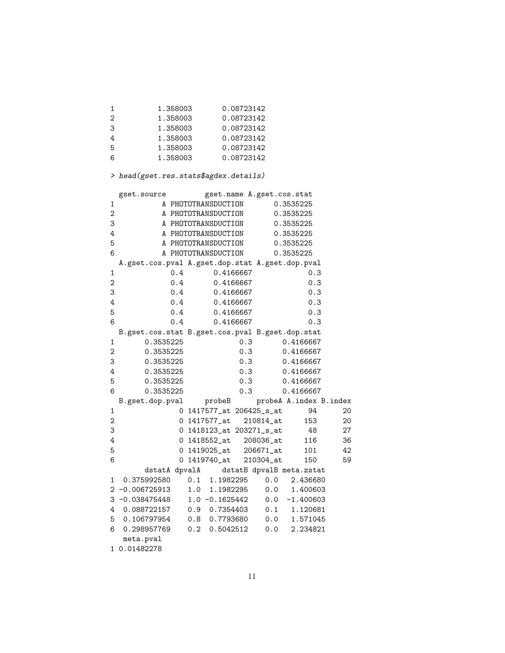| $\mathbf{1}$  | 1.358003 | 0.08723142 |
|---------------|----------|------------|
| $\mathcal{D}$ | 1.358003 | 0.08723142 |
| 3             | 1.358003 | 0.08723142 |
| 4             | 1.358003 | 0.08723142 |
| -5            | 1.358003 | 0.08723142 |
| 6             | 1.358003 | 0.08723142 |

# > head(gset.res.stats\$agdex.details)

|                | gset.source     | gset.name A.gset.cos.stat                       |                          |
|----------------|-----------------|-------------------------------------------------|--------------------------|
| 1              |                 | A PHOTOTRANSDUCTION                             | 0.3535225                |
| $\overline{2}$ |                 | A PHOTOTRANSDUCTION                             | 0.3535225                |
| 3              |                 | A PHOTOTRANSDUCTION                             | 0.3535225                |
| 4              |                 | A PHOTOTRANSDUCTION                             | 0.3535225                |
| 5              |                 | A PHOTOTRANSDUCTION                             | 0.3535225                |
| 6              |                 | A PHOTOTRANSDUCTION                             | 0.3535225                |
|                |                 | A.gset.cos.pval A.gset.dop.stat A.gset.dop.pval |                          |
| 1              | 0.4             | 0.4166667                                       | 0.3                      |
| $\overline{2}$ | 0.4             | 0.4166667                                       | 0.3                      |
| 3              | 0.4             | 0.4166667                                       | 0.3                      |
| 4              | 0.4             | 0.4166667                                       | 0.3                      |
| 5              | 0.4             | 0.4166667                                       | 0.3                      |
| 6              | 0.4             | 0.4166667                                       | 0.3                      |
|                |                 | B.gset.cos.stat B.gset.cos.pval B.gset.dop.stat |                          |
| $\mathbf{1}$   | 0.3535225       | 0.3                                             | 0.4166667                |
| $\mathbf{2}$   | 0.3535225       | 0.3                                             | 0.4166667                |
| 3              | 0.3535225       | 0.3                                             | 0.4166667                |
| 4              | 0.3535225       | 0.3                                             | 0.4166667                |
| 5              | 0.3535225       | 0.3                                             | 0.4166667                |
| 6              | 0.3535225       | 0.3                                             | 0.4166667                |
|                | B.gset.dop.pval | probeB                                          | probeA A.index B.index   |
| 1              |                 | 0 1417577_at 206425_s_at                        | 94<br>20                 |
| $\mathbf{2}$   |                 | 0 1417577_at<br>210814_at                       | 153<br>20                |
| 3              |                 | 0 1418123_at 203271_s_at                        | - 48<br>27               |
| 4              |                 | 0 1418552_at 208036_at                          | 116<br>36                |
| 5              |                 | $206671$ _at<br>0 1419025_at                    | 101<br>42                |
| 6              | 0               | 1419740_at<br>210304_at                         | 59<br>150                |
|                | dstatA dpvalA   |                                                 | dstatB dpvalB meta.zstat |
| 1              | 0.375992580     | 0.1 1.1982295                                   | 0.0<br>2.436680          |
| 2              | $-0.006725913$  | 1.0 1.1982295                                   | 0.0<br>1.400603          |
| 3              | $-0.038475448$  | $1.0 -0.1625442$                                | 0.0<br>$-1.400603$       |
| 4              | 0.088722157     | $0.9 \quad 0.7354403$                           | $0.1$ 1.120681           |
| 5              | 0.106797954     | 0.8 0.7793680                                   | 0.0<br>1.571045          |
| 6              | 0.298957769     | $0.2 \quad 0.5042512$                           | 0.0<br>2.234821          |
|                | meta.pval       |                                                 |                          |
|                |                 |                                                 |                          |

1 0.01482278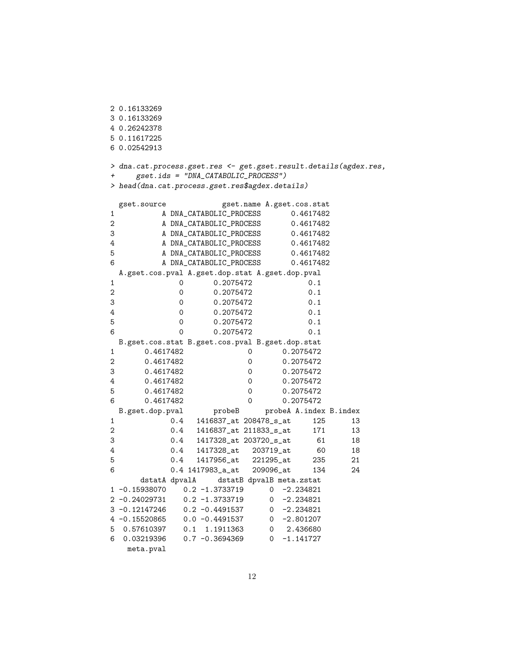2 0.16133269 3 0.16133269 4 0.26242378 5 0.11617225 6 0.02542913 > dna.cat.process.gset.res <- get.gset.result.details(agdex.res, + gset.ids = "DNA\_CATABOLIC\_PROCESS") > head(dna.cat.process.gset.res\$agdex.details) gset.source gset.name A.gset.cos.stat 1 A DNA\_CATABOLIC\_PROCESS 0.4617482 2 A DNA\_CATABOLIC\_PROCESS 0.4617482 3 A DNA\_CATABOLIC\_PROCESS 0.4617482 4 A DNA\_CATABOLIC\_PROCESS 0.4617482 5 A DNA\_CATABOLIC\_PROCESS 0.4617482 6 A DNA\_CATABOLIC\_PROCESS 0.4617482 A.gset.cos.pval A.gset.dop.stat A.gset.dop.pval 1 0 0.2075472 0.1 2 0 0.2075472 0.1 3 0 0.2075472 0.1 4 0 0.2075472 0.1 5 0 0.2075472 0.1 6 0 0.2075472 0.1 B.gset.cos.stat B.gset.cos.pval B.gset.dop.stat 1 0.4617482 0 0.2075472 2 0.4617482 0 0.2075472 3 0.4617482 0 0.2075472 4 0.4617482 0 0.2075472 5 0.4617482 0 0.2075472 6 0.4617482 0 0.2075472 B.gset.dop.pval probeB probeA A.index B.index 1 0.4 1416837\_at 208478\_s\_at 125 13 2 0.4 1416837\_at 211833\_s\_at 171 13 3 0.4 1417328\_at 203720\_s\_at 61 18 4 0.4 1417328\_at 203719\_at 60 18 5 0.4 1417956\_at 221295\_at 235 21 6 0.4 1417983\_a\_at 209096\_at 134 24 dstatA dpvalA dstatB dpvalB meta.zstat 1 -0.15938070 0.2 -1.3733719 0 -2.234821 2 -0.24029731 0.2 -1.3733719 0 -2.234821 3 -0.12147246 0.2 -0.4491537 0 -2.234821 4 -0.15520865 0.0 -0.4491537 0 -2.801207 5 0.57610397 0.1 1.1911363 0 2.436680 6 0.03219396 0.7 -0.3694369 0 -1.141727 meta.pval